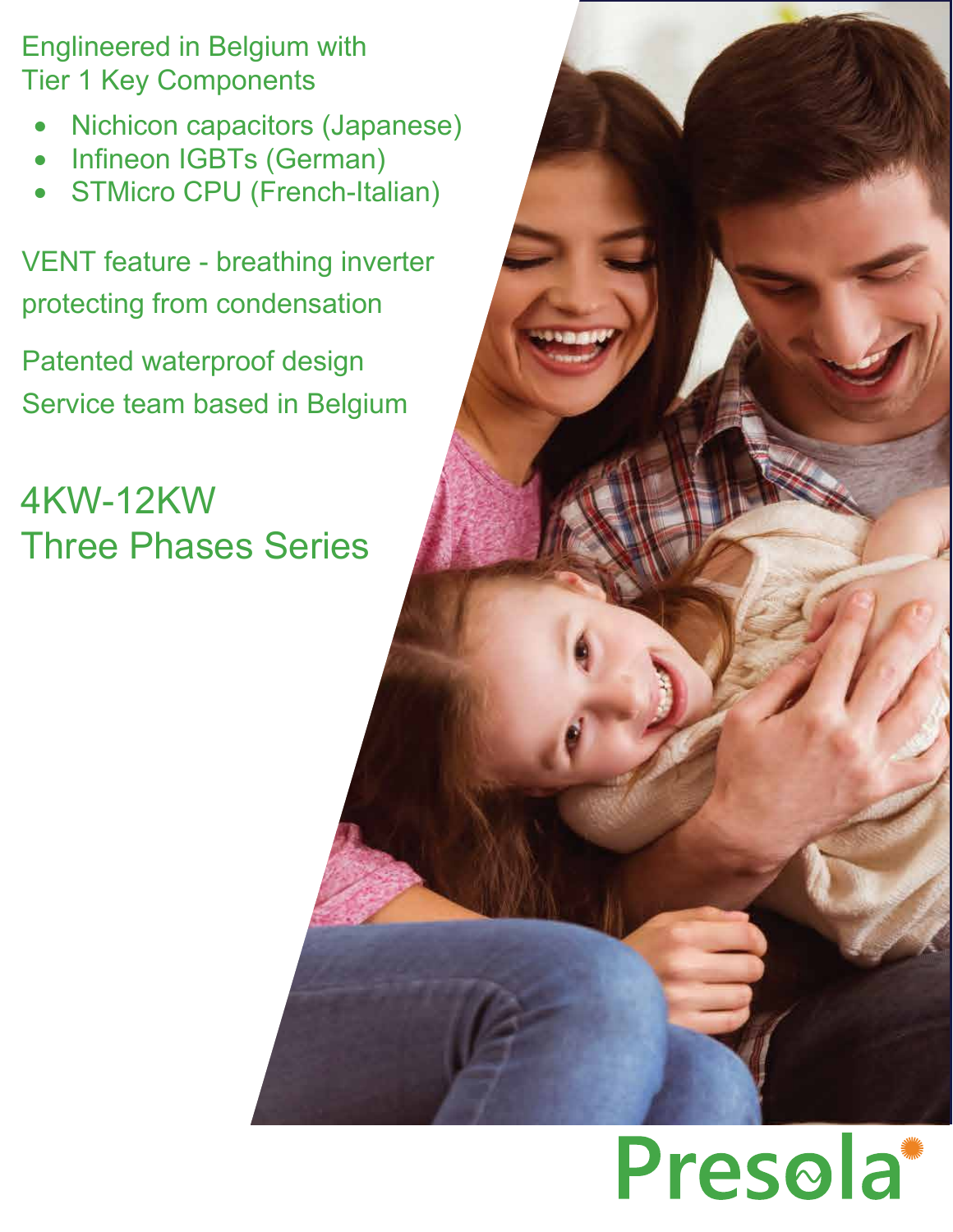Englineered in Belgium with Tier 1 Key Components

- Nichicon capacitors (Japanese)
- Infineon IGBTs (German)
- STMicro CPU (French-Italian)

VENT feature - breathing inverter protecting from condensation

Patented waterproof design Service team based in Belgium

4KW-12KW Three Phases Series

# Presola<sup>\*</sup>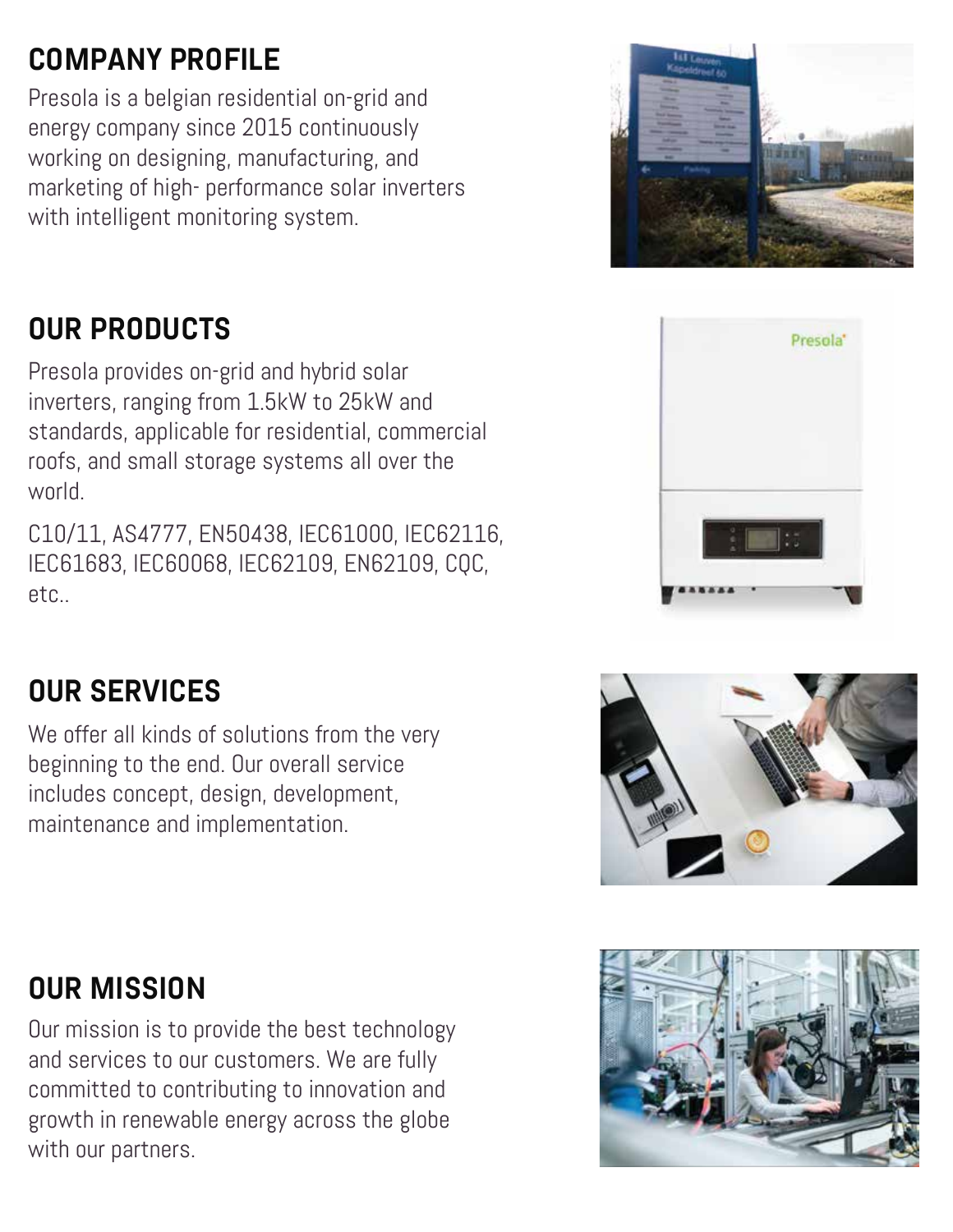#### **COMPANY PROFILE**

Presola is a belgian residential on-grid and energy company since 2015 continuously working on designing, manufacturing, and marketing of high- performance solar inverters with intelligent monitoring system.

#### **OUR PRODUCTS**

Presola provides on-grid and hybrid solar inverters, ranging from 1.5kW to 25kW and standards, applicable for residential, commercial roofs, and small storage systems all over the world.

C10/11, AS4777, EN50438, IEC61000, IEC62116, IEC61683, IEC60068, IEC62109, EN62109, CQC, etc..





#### **OUR SERVICES**

We offer all kinds of solutions from the very beginning to the end. Our overall service includes concept, design, development, maintenance and implementation.



#### **OUR MISSION**

Our mission is to provide the best technology and services to our customers. We are fully committed to contributing to innovation and growth in renewable energy across the globe with our partners.

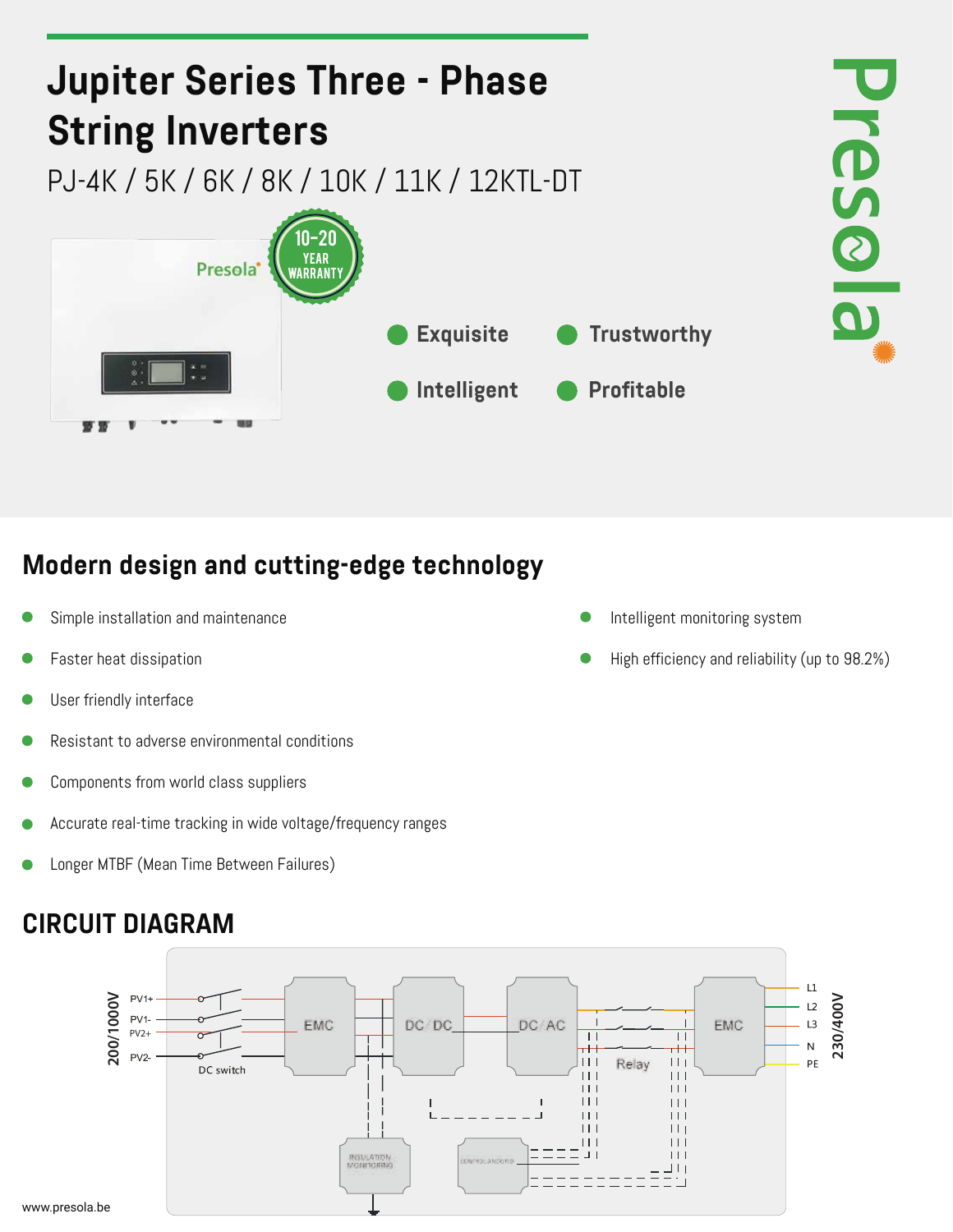

#### **Modern design and cutting-edge technology**

- Simple installation and maintenance **Intelligent monitoring system**
- 
- User friendly interface
- Resistant to adverse environmental conditions
- Components from world class suppliers
- Accurate real-time tracking in wide voltage/frequency ranges
- Longer MTBF (Mean Time Between Failures)

#### **CIRCUIT DIAGRAM**

 $PV1$ **1000/1000 200/1000V230/400V** 230/400V  $12$ PV1 EMC DC/DC DC/AC EMC L3 PV2+  $\perp$  $\perp$  $\overline{N}$ тH  $PV2 \Box$ Relay  $\Box$ PF DC switch H. Ш H.  $\Box$  $\Box$ **INSULATION**<br>MONITORING

- 
- Faster heat dissipation **High efficiency and reliability (up to 98.2%)**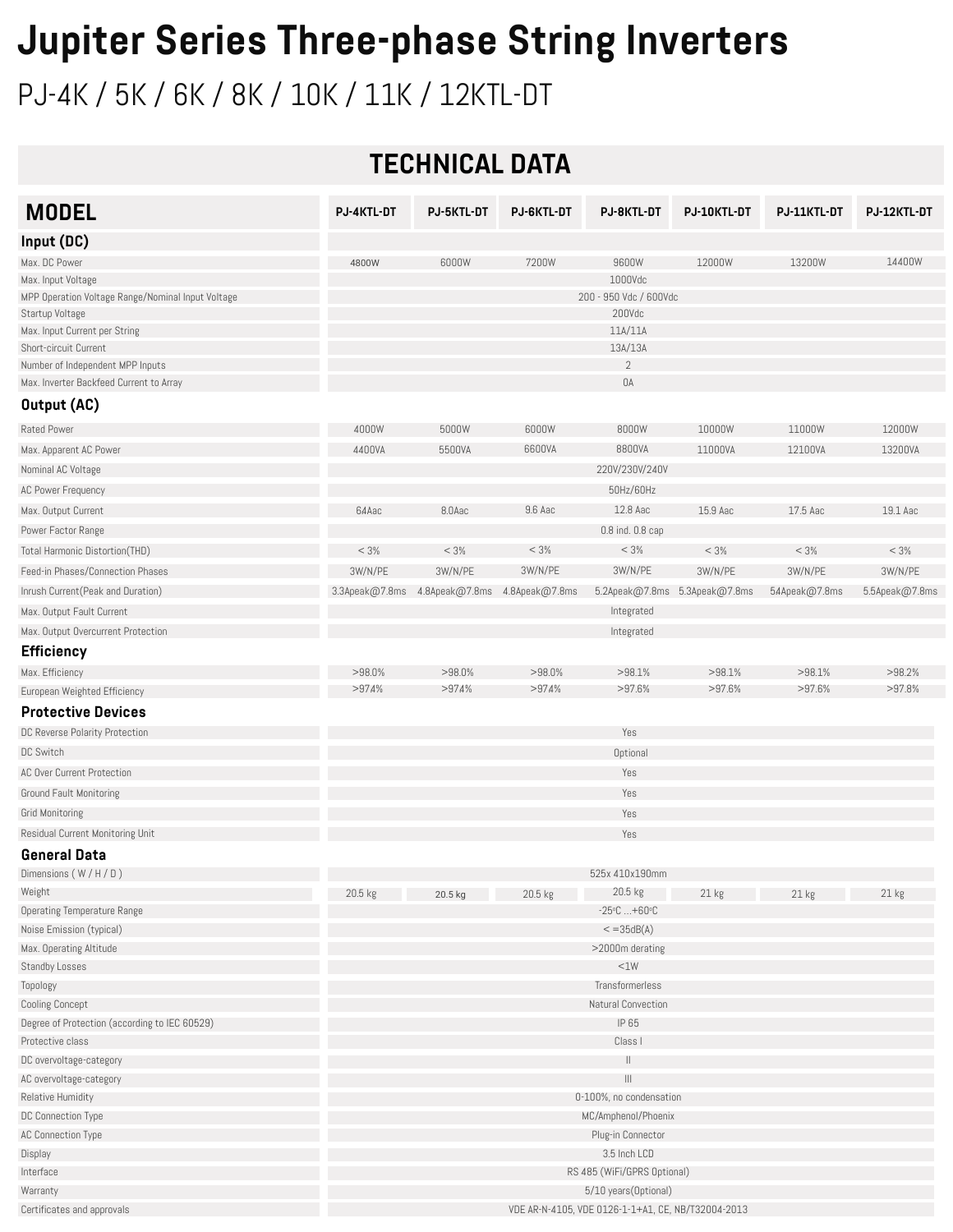### **Jupiter Series Three-phase String Inverters**

PJ-4K / 5K / 6K / 8K / 10K / 11K / 12KTL-DT

#### **TECHNICAL DATA**

| <b>MODEL</b>                                      | <b>PJ-4KTL-DT</b>                                  | PJ-5KTL-DT                                   | <b>PJ-6KTL-DT</b> | <b>PJ-8KTL-DT</b>                     | PJ-10KTL-DT                   | PJ-11KTL-DT   | PJ-12KTL-DT    |
|---------------------------------------------------|----------------------------------------------------|----------------------------------------------|-------------------|---------------------------------------|-------------------------------|---------------|----------------|
| Input (DC)                                        |                                                    |                                              |                   |                                       |                               |               |                |
| Max. DC Power                                     | 4800W                                              | 6000W                                        | 7200W             | 9600W                                 | 12000W                        | 13200W        | 14400W         |
| Max. Input Voltage                                |                                                    |                                              |                   | 1000Vdc                               |                               |               |                |
| MPP Operation Voltage Range/Nominal Input Voltage | 200 - 950 Vdc / 600Vdc                             |                                              |                   |                                       |                               |               |                |
| Startup Voltage                                   |                                                    |                                              |                   | 200Vdc                                |                               |               |                |
| Max. Input Current per String                     |                                                    |                                              |                   | 11A/11A                               |                               |               |                |
| Short-circuit Current                             |                                                    |                                              |                   | 13A/13A                               |                               |               |                |
| Number of Independent MPP Inputs                  |                                                    |                                              |                   | $\overline{2}$                        |                               |               |                |
| Max. Inverter Backfeed Current to Array           |                                                    |                                              |                   | OA                                    |                               |               |                |
| Output (AC)                                       |                                                    |                                              |                   |                                       |                               |               |                |
| Rated Power                                       | 4000W                                              | 5000W                                        | 6000W             | 8000W                                 | 10000W                        | 11000W        | 12000W         |
| Max. Apparent AC Power                            | 4400VA                                             | 5500VA                                       | 6600VA            | 8800VA                                | 11000VA                       | 12100VA       | 13200VA        |
| Nominal AC Voltage                                |                                                    |                                              |                   | 220V/230V/240V                        |                               |               |                |
| AC Power Frequency                                |                                                    |                                              |                   | 50Hz/60Hz                             |                               |               |                |
| Max. Output Current                               | 64Aac                                              | 8.0Aac                                       | 9.6 Aac           | 12.8 Aac                              | 15.9 Aac                      | 17.5 Aac      | 19.1 Aac       |
| Power Factor Range                                |                                                    |                                              |                   | 0.8 ind. 0.8 cap                      |                               |               |                |
| Total Harmonic Distortion(THD)                    | < 3%                                               | < 3%                                         | < 3%              | < 3%                                  | < 3%                          | < 3%          | < 3%           |
| Feed-in Phases/Connection Phases                  | 3W/N/PE                                            | 3W/N/PE                                      | 3W/N/PE           | 3W/N/PE                               | 3W/N/PE                       | 3W/N/PE       | 3W/N/PE        |
| Inrush Current (Peak and Duration)                |                                                    | 3.3Apeak@7.8ms 4.8Apeak@7.8ms 4.8Apeak@7.8ms |                   |                                       | 5.2Apeak@7.8ms 5.3Apeak@7.8ms | 54Apeak@7.8ms | 5.5Apeak@7.8ms |
| Max. Output Fault Current                         |                                                    |                                              |                   | Integrated                            |                               |               |                |
| Max. Output Overcurrent Protection                |                                                    |                                              |                   | Integrated                            |                               |               |                |
| <b>Efficiency</b>                                 |                                                    |                                              |                   |                                       |                               |               |                |
| Max. Efficiency                                   | >98.0%                                             | $>98.0\%$                                    | $>98.0\%$         | $>98.1\%$                             | >98.1%                        | >98.1%        | >98.2%         |
| European Weighted Efficiency                      | >974%                                              | >974%                                        | >974%             | >97.6%                                | >97.6%                        | >97.6%        | >97.8%         |
| <b>Protective Devices</b>                         |                                                    |                                              |                   |                                       |                               |               |                |
| DC Reverse Polarity Protection                    |                                                    |                                              |                   | Yes                                   |                               |               |                |
| DC Switch                                         | Optional                                           |                                              |                   |                                       |                               |               |                |
| AC Over Current Protection                        |                                                    |                                              |                   | Yes                                   |                               |               |                |
| <b>Ground Fault Monitoring</b>                    |                                                    |                                              |                   | Yes                                   |                               |               |                |
| Grid Monitoring                                   |                                                    |                                              |                   | Yes                                   |                               |               |                |
| Residual Current Monitoring Unit                  |                                                    |                                              |                   | Yes                                   |                               |               |                |
|                                                   |                                                    |                                              |                   |                                       |                               |               |                |
| <b>General Data</b><br>Dimensions $(W/H/D)$       |                                                    |                                              |                   | 525x 410x190mm                        |                               |               |                |
| Weight                                            |                                                    |                                              |                   | $20.5$ kg                             |                               |               |                |
| <b>Operating Temperature Range</b>                | 20.5 kg                                            | 20.5 kg                                      | 20.5 kg           | $-25^{\circ}$ C  +60 $^{\circ}$ C     | 21 <sub>kg</sub>              | 21 kg         | 21 kg          |
| Noise Emission (typical)                          | $\epsilon$ = 35dB(A)                               |                                              |                   |                                       |                               |               |                |
| Max. Operating Altitude                           | >2000m derating                                    |                                              |                   |                                       |                               |               |                |
| Standby Losses                                    |                                                    |                                              |                   | $<$ 1W                                |                               |               |                |
| Topology                                          |                                                    |                                              |                   | Transformerless                       |                               |               |                |
| <b>Cooling Concept</b>                            |                                                    |                                              |                   | Natural Convection                    |                               |               |                |
| Degree of Protection (according to IEC 60529)     |                                                    |                                              |                   | IP 65                                 |                               |               |                |
| Protective class                                  |                                                    |                                              |                   | Class I                               |                               |               |                |
| DC overvoltage-category                           |                                                    |                                              |                   | H                                     |                               |               |                |
| AC overvoltage-category                           |                                                    |                                              |                   | $\begin{array}{c} \hline \end{array}$ |                               |               |                |
| Relative Humidity                                 | 0-100%, no condensation                            |                                              |                   |                                       |                               |               |                |
| DC Connection Type                                | MC/Amphenol/Phoenix                                |                                              |                   |                                       |                               |               |                |
| AC Connection Type                                | Plug-in Connector                                  |                                              |                   |                                       |                               |               |                |
| Display                                           | 3.5 Inch LCD                                       |                                              |                   |                                       |                               |               |                |
| Interface                                         | RS 485 (WiFi/GPRS Optional)                        |                                              |                   |                                       |                               |               |                |
| Warranty                                          | 5/10 years(Optional)                               |                                              |                   |                                       |                               |               |                |
| Certificates and approvals                        | VDE AR-N-4105, VDE 0126-1-1+A1, CE, NB/T32004-2013 |                                              |                   |                                       |                               |               |                |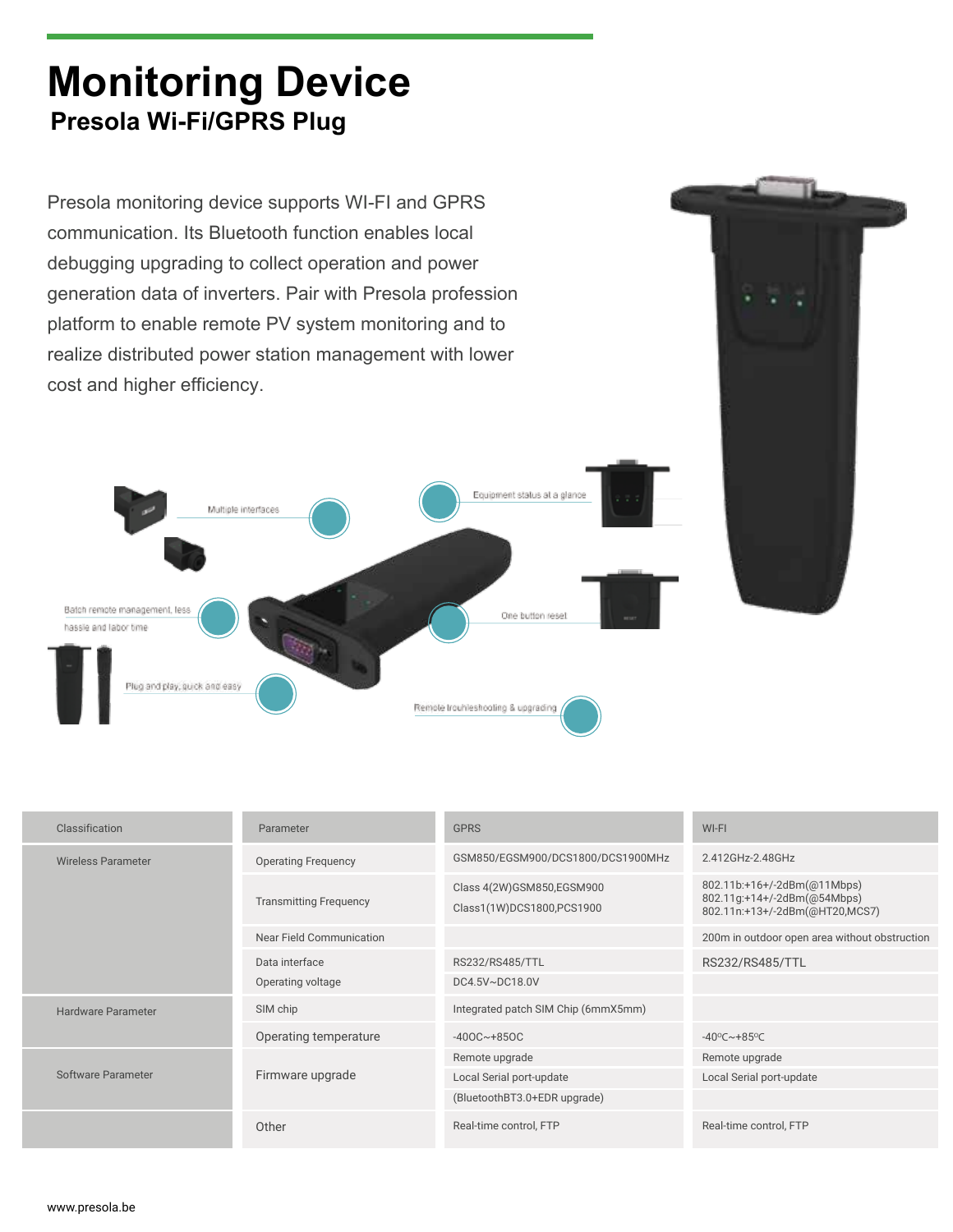#### **Monitoring Device Presola Wi-Fi/GPRS Plug**

Presola monitoring device supports WI-FI and GPRS communication. Its Bluetooth function enables local debugging upgrading to collect operation and power generation data of inverters. Pair with Presola profession platform to enable remote PV system monitoring and to realize distributed power station management with lower cost and higher efficiency.





| Classification     | Parameter                     | <b>GPRS</b>                                            | WI-FI                                                                                        |  |  |
|--------------------|-------------------------------|--------------------------------------------------------|----------------------------------------------------------------------------------------------|--|--|
| Wireless Parameter | <b>Operating Frequency</b>    | GSM850/EGSM900/DCS1800/DCS1900MHz                      | 2.412GHz-2.48GHz                                                                             |  |  |
|                    | <b>Transmitting Frequency</b> | Class 4(2W)GSM850,EGSM900<br>Class1(1W)DCS1800,PCS1900 | 802.11b:+16+/-2dBm(@11Mbps)<br>802.11g:+14+/-2dBm(@54Mbps)<br>802.11n:+13+/-2dBm(@HT20,MCS7) |  |  |
|                    | Near Field Communication      |                                                        | 200m in outdoor open area without obstruction                                                |  |  |
|                    | Data interface                | RS232/RS485/TTL                                        | RS232/RS485/TTL                                                                              |  |  |
|                    | Operating voltage             | DC4.5V~DC18.0V                                         |                                                                                              |  |  |
| Hardware Parameter | SIM chip                      | Integrated patch SIM Chip (6mmX5mm)                    |                                                                                              |  |  |
|                    | Operating temperature         | $-400C - +850C$                                        | $-40^{\circ}$ C $\sim$ +85 $^{\circ}$ C                                                      |  |  |
| Software Parameter |                               | Remote upgrade                                         | Remote upgrade                                                                               |  |  |
|                    | Firmware upgrade              | Local Serial port-update                               | Local Serial port-update                                                                     |  |  |
|                    |                               | (BluetoothBT3.0+EDR upgrade)                           |                                                                                              |  |  |
|                    | Other                         | Real-time control, FTP                                 | Real-time control, FTP                                                                       |  |  |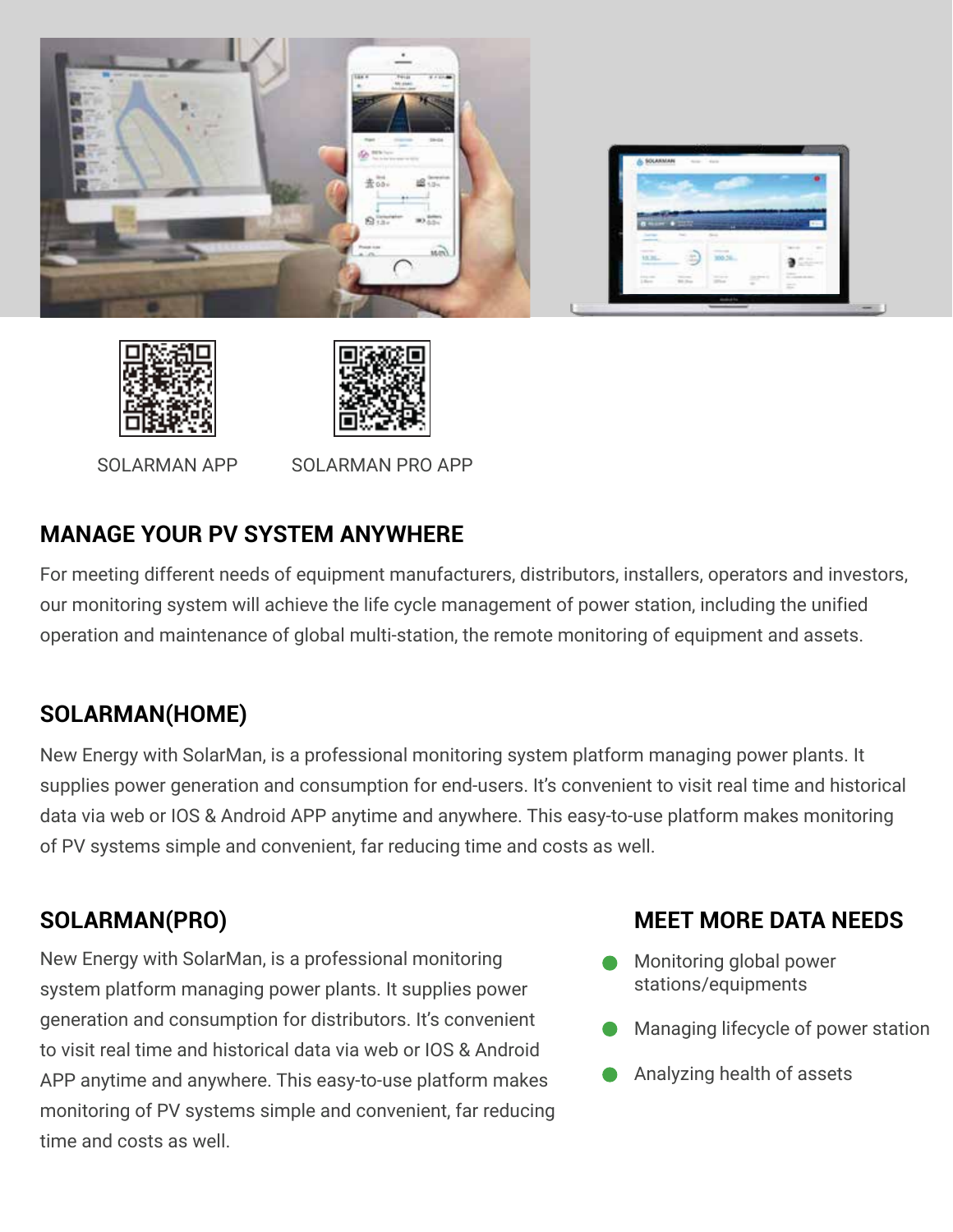





SOLARMAN APP SOLARMAN PRO APP

#### **MANAGE YOUR PV SYSTEM ANYWHERE**

For meeting different needs of equipment manufacturers, distributors, installers, operators and investors, our monitoring system will achieve the life cycle management of power station, including the unified operation and maintenance of global multi-station, the remote monitoring of equipment and assets.

#### **SOLARMAN(HOME)**

New Energy with SolarMan, is a professional monitoring system platform managing power plants. It supplies power generation and consumption for end-users. It's convenient to visit real time and historical data via web or IOS & Android APP anytime and anywhere. This easy-to-use platform makes monitoring of PV systems simple and convenient, far reducing time and costs as well.

New Energy with SolarMan, is a professional monitoring system platform managing power plants. It supplies power generation and consumption for distributors. It's convenient to visit real time and historical data via web or IOS & Android APP anytime and anywhere. This easy-to-use platform makes monitoring of PV systems simple and convenient, far reducing time and costs as well.

#### **SOLARMAN(PRO) MEET MORE DATA NEEDS**

- Monitoring global power stations/equipments
- Managing lifecycle of power station
- Analyzing health of assets